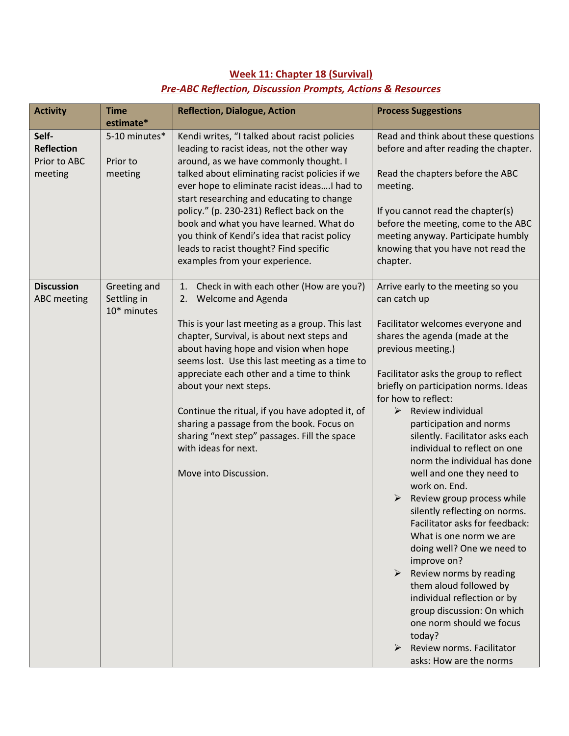## **Week 11: Chapter 18 (Survival)** *Pre-ABC Reflection, Discussion Prompts, Actions & Resources*

| <b>Activity</b>                                       | <b>Time</b><br>estimate*                   | <b>Reflection, Dialogue, Action</b>                                                                                                                                                                                                                                                                                                                                                                                                                                                                                                                   | <b>Process Suggestions</b>                                                                                                                                                                                                                                                                                                                                                                                                                                                                                                                                                                                                                                                                                                                                                                                                                                                       |
|-------------------------------------------------------|--------------------------------------------|-------------------------------------------------------------------------------------------------------------------------------------------------------------------------------------------------------------------------------------------------------------------------------------------------------------------------------------------------------------------------------------------------------------------------------------------------------------------------------------------------------------------------------------------------------|----------------------------------------------------------------------------------------------------------------------------------------------------------------------------------------------------------------------------------------------------------------------------------------------------------------------------------------------------------------------------------------------------------------------------------------------------------------------------------------------------------------------------------------------------------------------------------------------------------------------------------------------------------------------------------------------------------------------------------------------------------------------------------------------------------------------------------------------------------------------------------|
| Self-<br><b>Reflection</b><br>Prior to ABC<br>meeting | 5-10 minutes*<br>Prior to<br>meeting       | Kendi writes, "I talked about racist policies<br>leading to racist ideas, not the other way<br>around, as we have commonly thought. I<br>talked about eliminating racist policies if we<br>ever hope to eliminate racist ideas I had to<br>start researching and educating to change<br>policy." (p. 230-231) Reflect back on the<br>book and what you have learned. What do<br>you think of Kendi's idea that racist policy<br>leads to racist thought? Find specific<br>examples from your experience.                                              | Read and think about these questions<br>before and after reading the chapter.<br>Read the chapters before the ABC<br>meeting.<br>If you cannot read the chapter(s)<br>before the meeting, come to the ABC<br>meeting anyway. Participate humbly<br>knowing that you have not read the<br>chapter.                                                                                                                                                                                                                                                                                                                                                                                                                                                                                                                                                                                |
| <b>Discussion</b><br><b>ABC</b> meeting               | Greeting and<br>Settling in<br>10* minutes | Check in with each other (How are you?)<br>1.<br><b>Welcome and Agenda</b><br>2.<br>This is your last meeting as a group. This last<br>chapter, Survival, is about next steps and<br>about having hope and vision when hope<br>seems lost. Use this last meeting as a time to<br>appreciate each other and a time to think<br>about your next steps.<br>Continue the ritual, if you have adopted it, of<br>sharing a passage from the book. Focus on<br>sharing "next step" passages. Fill the space<br>with ideas for next.<br>Move into Discussion. | Arrive early to the meeting so you<br>can catch up<br>Facilitator welcomes everyone and<br>shares the agenda (made at the<br>previous meeting.)<br>Facilitator asks the group to reflect<br>briefly on participation norms. Ideas<br>for how to reflect:<br>Review individual<br>➤<br>participation and norms<br>silently. Facilitator asks each<br>individual to reflect on one<br>norm the individual has done<br>well and one they need to<br>work on. End.<br>Review group process while<br>silently reflecting on norms.<br>Facilitator asks for feedback:<br>What is one norm we are<br>doing well? One we need to<br>improve on?<br>Review norms by reading<br>$\blacktriangleright$<br>them aloud followed by<br>individual reflection or by<br>group discussion: On which<br>one norm should we focus<br>today?<br>Review norms. Facilitator<br>asks: How are the norms |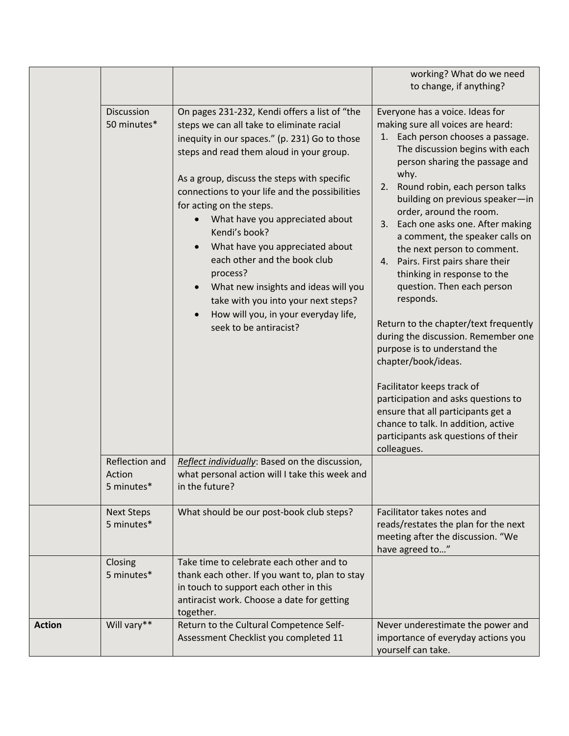|               |                                        |                                                                                                                                                                                                                                                                                                                                                                                                                                                                                                                                                                                                          | working? What do we need<br>to change, if anything?                                                                                                                                                                                                                                                                                                                                                                                                                                                                                                                                                                                                                                                                                                                                                                                                                      |
|---------------|----------------------------------------|----------------------------------------------------------------------------------------------------------------------------------------------------------------------------------------------------------------------------------------------------------------------------------------------------------------------------------------------------------------------------------------------------------------------------------------------------------------------------------------------------------------------------------------------------------------------------------------------------------|--------------------------------------------------------------------------------------------------------------------------------------------------------------------------------------------------------------------------------------------------------------------------------------------------------------------------------------------------------------------------------------------------------------------------------------------------------------------------------------------------------------------------------------------------------------------------------------------------------------------------------------------------------------------------------------------------------------------------------------------------------------------------------------------------------------------------------------------------------------------------|
|               | <b>Discussion</b><br>50 minutes*       | On pages 231-232, Kendi offers a list of "the<br>steps we can all take to eliminate racial<br>inequity in our spaces." (p. 231) Go to those<br>steps and read them aloud in your group.<br>As a group, discuss the steps with specific<br>connections to your life and the possibilities<br>for acting on the steps.<br>What have you appreciated about<br>Kendi's book?<br>What have you appreciated about<br>each other and the book club<br>process?<br>What new insights and ideas will you<br>take with you into your next steps?<br>How will you, in your everyday life,<br>seek to be antiracist? | Everyone has a voice. Ideas for<br>making sure all voices are heard:<br>Each person chooses a passage.<br>1.<br>The discussion begins with each<br>person sharing the passage and<br>why.<br>Round robin, each person talks<br>2.<br>building on previous speaker-in<br>order, around the room.<br>Each one asks one. After making<br>3.<br>a comment, the speaker calls on<br>the next person to comment.<br>4. Pairs. First pairs share their<br>thinking in response to the<br>question. Then each person<br>responds.<br>Return to the chapter/text frequently<br>during the discussion. Remember one<br>purpose is to understand the<br>chapter/book/ideas.<br>Facilitator keeps track of<br>participation and asks questions to<br>ensure that all participants get a<br>chance to talk. In addition, active<br>participants ask questions of their<br>colleagues. |
|               | Reflection and<br>Action<br>5 minutes* | Reflect individually: Based on the discussion,<br>what personal action will I take this week and<br>in the future?                                                                                                                                                                                                                                                                                                                                                                                                                                                                                       |                                                                                                                                                                                                                                                                                                                                                                                                                                                                                                                                                                                                                                                                                                                                                                                                                                                                          |
|               | <b>Next Steps</b><br>5 minutes*        | What should be our post-book club steps?                                                                                                                                                                                                                                                                                                                                                                                                                                                                                                                                                                 | Facilitator takes notes and<br>reads/restates the plan for the next<br>meeting after the discussion. "We<br>have agreed to"                                                                                                                                                                                                                                                                                                                                                                                                                                                                                                                                                                                                                                                                                                                                              |
|               | Closing<br>5 minutes*                  | Take time to celebrate each other and to<br>thank each other. If you want to, plan to stay<br>in touch to support each other in this<br>antiracist work. Choose a date for getting<br>together.                                                                                                                                                                                                                                                                                                                                                                                                          |                                                                                                                                                                                                                                                                                                                                                                                                                                                                                                                                                                                                                                                                                                                                                                                                                                                                          |
| <b>Action</b> | Will vary**                            | Return to the Cultural Competence Self-<br>Assessment Checklist you completed 11                                                                                                                                                                                                                                                                                                                                                                                                                                                                                                                         | Never underestimate the power and<br>importance of everyday actions you<br>yourself can take.                                                                                                                                                                                                                                                                                                                                                                                                                                                                                                                                                                                                                                                                                                                                                                            |